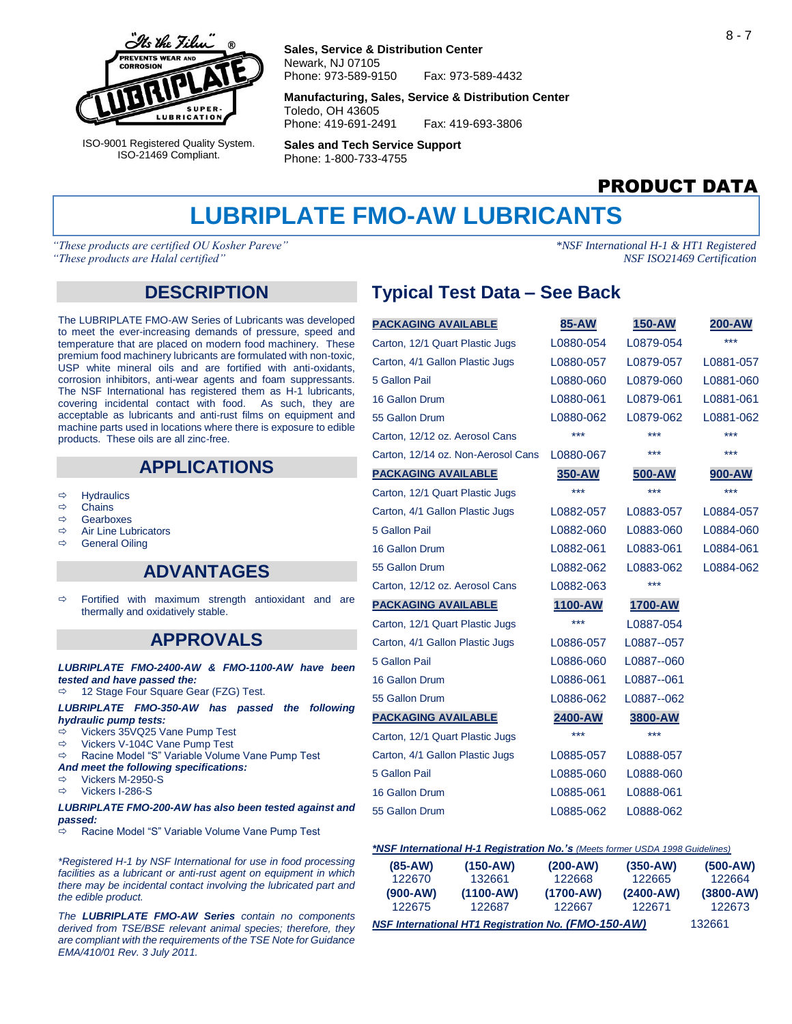

ISO-9001 Registered Quality System. ISO-21469 Compliant.

#### **Sales, Service & Distribution Center** Newark, NJ 07105 Phone: 973-589-9150 Fax: 973-589-4432

**Manufacturing, Sales, Service & Distribution Center** Toledo, OH 43605

Phone: 419-691-2491 Fax: 419-693-3806

**Sales and Tech Service Support** Phone: 1-800-733-4755

# PRODUCT DATA

# **LUBRIPLATE FMO-AW LUBRICANTS**

*"These products are certified OU Kosher Pareve" \*NSF International H-1 & HT1 Registered "These products are Halal certified" NSF ISO21469 Certification*

#### **DESCRIPTION**

The LUBRIPLATE FMO-AW Series of Lubricants was developed to meet the ever-increasing demands of pressure, speed and temperature that are placed on modern food machinery. These premium food machinery lubricants are formulated with non-toxic, USP white mineral oils and are fortified with anti-oxidants, corrosion inhibitors, anti-wear agents and foam suppressants. The NSF International has registered them as H-1 lubricants, covering incidental contact with food. As such, they are acceptable as lubricants and anti-rust films on equipment and machine parts used in locations where there is exposure to edible products. These oils are all zinc-free.

### **APPLICATIONS**

- $\Rightarrow$  Hydraulics
- $\Leftrightarrow$  Chains<br> $\Leftrightarrow$  Gearbo
- Gearboxes
- $\Rightarrow$  Air Line Lubricators
- $\Rightarrow$  General Oiling

#### **ADVANTAGES**

 $\Rightarrow$  Fortified with maximum strength antioxidant and are thermally and oxidatively stable.

### **APPROVALS**

*LUBRIPLATE FMO-2400-AW & FMO-1100-AW have been tested and have passed the:*

12 Stage Four Square Gear (FZG) Test.

*LUBRIPLATE FMO-350-AW has passed the following hydraulic pump tests:*

- Vickers 35VQ25 Vane Pump Test
- $\Rightarrow$  Vickers V-104C Vane Pump Test
- Racine Model "S" Variable Volume Vane Pump Test
- *And meet the following specifications:*
- $\Rightarrow$  Vickers M-2950-S
- $\Rightarrow$  Vickers I-286-S

#### *LUBRIPLATE FMO-200-AW has also been tested against and passed:*

Racine Model "S" Variable Volume Vane Pump Test

*\*Registered H-1 by NSF International for use in food processing facilities as a lubricant or anti-rust agent on equipment in which there may be incidental contact involving the lubricated part and the edible product.* 

*The LUBRIPLATE FMO-AW Series contain no components derived from TSE/BSE relevant animal species; therefore, they are compliant with the requirements of the TSE Note for Guidance EMA/410/01 Rev. 3 July 2011.* 

# **Typical Test Data – See Back**

| <b>PACKAGING AVAILABLE</b>         | 85-AW     | <b>150-AW</b> | 200-AW    |
|------------------------------------|-----------|---------------|-----------|
| Carton, 12/1 Quart Plastic Jugs    | L0880-054 | L0879-054     | ***       |
| Carton, 4/1 Gallon Plastic Jugs    | L0880-057 | L0879-057     | L0881-057 |
| 5 Gallon Pail                      | L0880-060 | L0879-060     | L0881-060 |
| 16 Gallon Drum                     | L0880-061 | L0879-061     | L0881-061 |
| 55 Gallon Drum                     | L0880-062 | L0879-062     | L0881-062 |
| Carton, 12/12 oz. Aerosol Cans     | ***       | ***           | ***       |
| Carton, 12/14 oz. Non-Aerosol Cans | L0880-067 | ***           | ***       |
| <b>PACKAGING AVAILABLE</b>         | 350-AW    | 500-AW        | 900-AW    |
| Carton, 12/1 Quart Plastic Jugs    | ***       | ***           | ***       |
| Carton, 4/1 Gallon Plastic Jugs    | L0882-057 | L0883-057     | L0884-057 |
| 5 Gallon Pail                      | L0882-060 | L0883-060     | L0884-060 |
| 16 Gallon Drum                     | L0882-061 | L0883-061     | L0884-061 |
| 55 Gallon Drum                     | L0882-062 | L0883-062     | L0884-062 |
| Carton, 12/12 oz. Aerosol Cans     | L0882-063 | $***$         |           |
| <b>PACKAGING AVAILABLE</b>         | 1100-AW   | 1700-AW       |           |
| Carton, 12/1 Quart Plastic Jugs    | ***       | L0887-054     |           |
| Carton, 4/1 Gallon Plastic Jugs    | L0886-057 | L0887--057    |           |
| 5 Gallon Pail                      | L0886-060 | L0887--060    |           |
| 16 Gallon Drum                     | L0886-061 | L0887--061    |           |
| 55 Gallon Drum                     | L0886-062 | L0887--062    |           |
| <b>PACKAGING AVAILABLE</b>         | 2400-AW   | 3800-AW       |           |
| Carton, 12/1 Quart Plastic Jugs    | ***       | ***           |           |
| Carton, 4/1 Gallon Plastic Jugs    | L0885-057 | L0888-057     |           |
| 5 Gallon Pail                      | L0885-060 | L0888-060     |           |
| 16 Gallon Drum                     | L0885-061 | L0888-061     |           |
| 55 Gallon Drum                     | L0885-062 | L0888-062     |           |
|                                    |           |               |           |

#### *\*NSF International H-1 Registration No.'s (Meets former USDA 1998 Guidelines)*

| $(85-AW)$<br>122670                                        | $(150-AW)$<br>132661    |                                   | $(350-AW)$<br>122665    | $(500-AW)$<br>122664    |  |
|------------------------------------------------------------|-------------------------|-----------------------------------|-------------------------|-------------------------|--|
| $(900-AW)$<br>122675                                       | $(1100 - AW)$<br>122687 | 122668<br>$(1700 - AW)$<br>122667 | $(2400 - AW)$<br>122671 | $(3800 - AW)$<br>122673 |  |
| <b>NSF International HT1 Registration No. (FMO-150-AW)</b> | 132661                  |                                   |                         |                         |  |